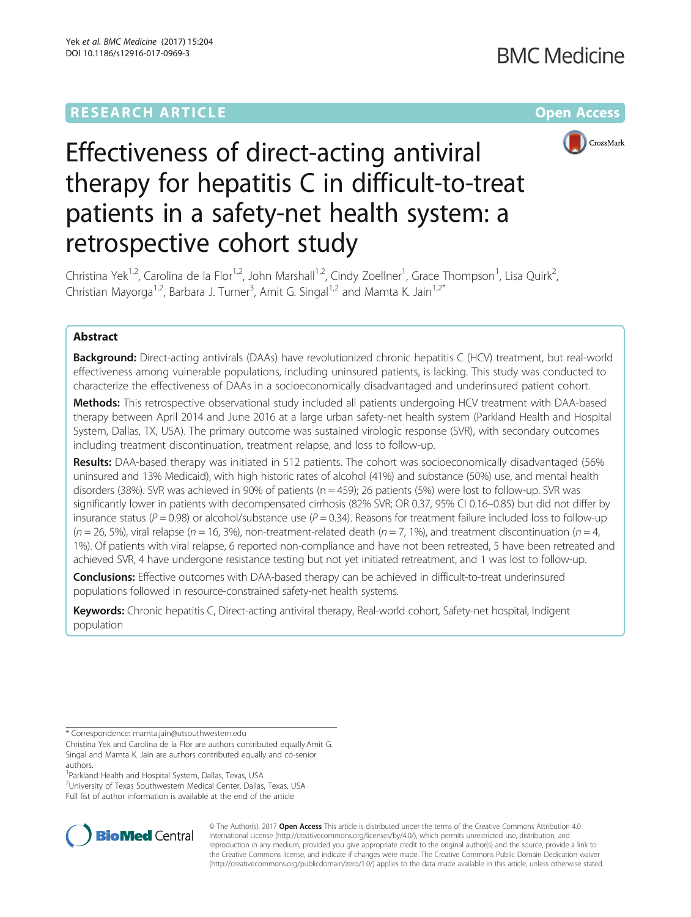# **RESEARCH ARTICLE Example 2014 12:30 The Community Community Community Community Community Community Community**



# Effectiveness of direct-acting antiviral therapy for hepatitis C in difficult-to-treat patients in a safety-net health system: a retrospective cohort study

Christina Yek<sup>1,2</sup>, Carolina de la Flor<sup>1,2</sup>, John Marshall<sup>1,2</sup>, Cindy Zoellner<sup>1</sup>, Grace Thompson<sup>1</sup>, Lisa Quirk<sup>2</sup> , Christian Mayorga<sup>1,2</sup>, Barbara J. Turner<sup>3</sup>, Amit G. Singal<sup>1,2</sup> and Mamta K. Jain<sup>1,2\*</sup>

# Abstract

Background: Direct-acting antivirals (DAAs) have revolutionized chronic hepatitis C (HCV) treatment, but real-world effectiveness among vulnerable populations, including uninsured patients, is lacking. This study was conducted to characterize the effectiveness of DAAs in a socioeconomically disadvantaged and underinsured patient cohort.

Methods: This retrospective observational study included all patients undergoing HCV treatment with DAA-based therapy between April 2014 and June 2016 at a large urban safety-net health system (Parkland Health and Hospital System, Dallas, TX, USA). The primary outcome was sustained virologic response (SVR), with secondary outcomes including treatment discontinuation, treatment relapse, and loss to follow-up.

Results: DAA-based therapy was initiated in 512 patients. The cohort was socioeconomically disadvantaged (56% uninsured and 13% Medicaid), with high historic rates of alcohol (41%) and substance (50%) use, and mental health disorders (38%). SVR was achieved in 90% of patients (n = 459); 26 patients (5%) were lost to follow-up. SVR was significantly lower in patients with decompensated cirrhosis (82% SVR; OR 0.37, 95% CI 0.16–0.85) but did not differ by insurance status ( $P = 0.98$ ) or alcohol/substance use ( $P = 0.34$ ). Reasons for treatment failure included loss to follow-up  $(n = 26, 5%)$ , viral relapse (n = 16, 3%), non-treatment-related death (n = 7, 1%), and treatment discontinuation (n = 4, 1%). Of patients with viral relapse, 6 reported non-compliance and have not been retreated, 5 have been retreated and achieved SVR, 4 have undergone resistance testing but not yet initiated retreatment, and 1 was lost to follow-up.

**Conclusions:** Effective outcomes with DAA-based therapy can be achieved in difficult-to-treat underinsured populations followed in resource-constrained safety-net health systems.

Keywords: Chronic hepatitis C, Direct-acting antiviral therapy, Real-world cohort, Safety-net hospital, Indigent population

<sup>2</sup> University of Texas Southwestern Medical Center, Dallas, Texas, USA Full list of author information is available at the end of the article



© The Author(s). 2017 **Open Access** This article is distributed under the terms of the Creative Commons Attribution 4.0 International License [\(http://creativecommons.org/licenses/by/4.0/](http://creativecommons.org/licenses/by/4.0/)), which permits unrestricted use, distribution, and reproduction in any medium, provided you give appropriate credit to the original author(s) and the source, provide a link to the Creative Commons license, and indicate if changes were made. The Creative Commons Public Domain Dedication waiver [\(http://creativecommons.org/publicdomain/zero/1.0/](http://creativecommons.org/publicdomain/zero/1.0/)) applies to the data made available in this article, unless otherwise stated.

<sup>\*</sup> Correspondence: [mamta.jain@utsouthwestern.edu](mailto:mamta.jain@utsouthwestern.edu)

Christina Yek and Carolina de la Flor are authors contributed equally.Amit G. Singal and Mamta K. Jain are authors contributed equally and co-senior authors.

<sup>&</sup>lt;sup>1</sup> Parkland Health and Hospital System, Dallas, Texas, USA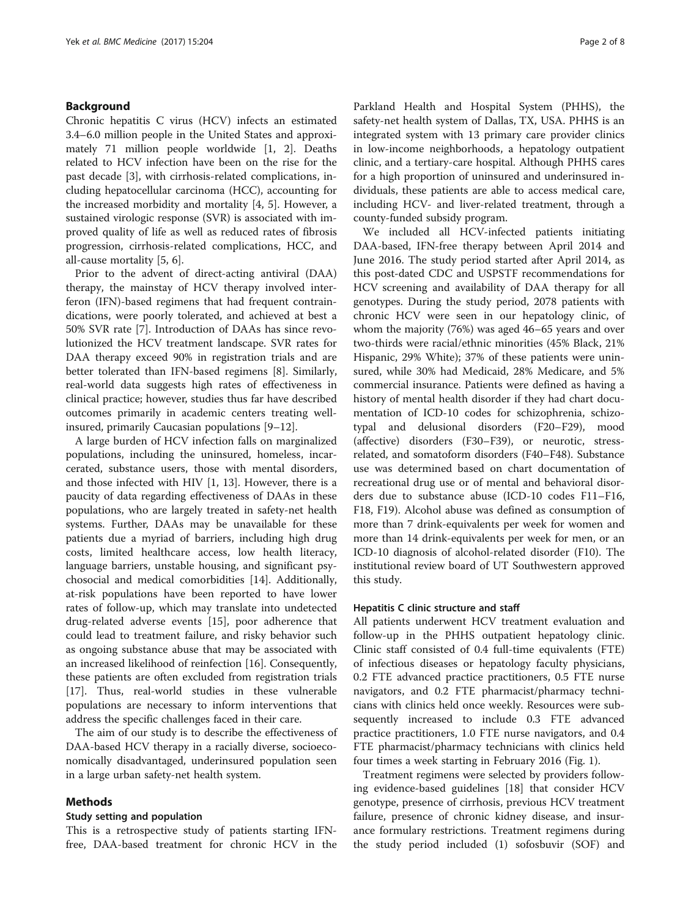# Background

Chronic hepatitis C virus (HCV) infects an estimated 3.4–6.0 million people in the United States and approximately 71 million people worldwide [[1, 2\]](#page-6-0). Deaths related to HCV infection have been on the rise for the past decade [[3](#page-6-0)], with cirrhosis-related complications, including hepatocellular carcinoma (HCC), accounting for the increased morbidity and mortality [[4](#page-6-0), [5\]](#page-6-0). However, a sustained virologic response (SVR) is associated with improved quality of life as well as reduced rates of fibrosis progression, cirrhosis-related complications, HCC, and all-cause mortality [\[5](#page-6-0), [6](#page-6-0)].

Prior to the advent of direct-acting antiviral (DAA) therapy, the mainstay of HCV therapy involved interferon (IFN)-based regimens that had frequent contraindications, were poorly tolerated, and achieved at best a 50% SVR rate [\[7\]](#page-6-0). Introduction of DAAs has since revolutionized the HCV treatment landscape. SVR rates for DAA therapy exceed 90% in registration trials and are better tolerated than IFN-based regimens [\[8](#page-6-0)]. Similarly, real-world data suggests high rates of effectiveness in clinical practice; however, studies thus far have described outcomes primarily in academic centers treating wellinsured, primarily Caucasian populations [[9](#page-6-0)–[12](#page-7-0)].

A large burden of HCV infection falls on marginalized populations, including the uninsured, homeless, incarcerated, substance users, those with mental disorders, and those infected with HIV [[1,](#page-6-0) [13\]](#page-7-0). However, there is a paucity of data regarding effectiveness of DAAs in these populations, who are largely treated in safety-net health systems. Further, DAAs may be unavailable for these patients due a myriad of barriers, including high drug costs, limited healthcare access, low health literacy, language barriers, unstable housing, and significant psychosocial and medical comorbidities [[14](#page-7-0)]. Additionally, at-risk populations have been reported to have lower rates of follow-up, which may translate into undetected drug-related adverse events [\[15](#page-7-0)], poor adherence that could lead to treatment failure, and risky behavior such as ongoing substance abuse that may be associated with an increased likelihood of reinfection [[16](#page-7-0)]. Consequently, these patients are often excluded from registration trials [[17\]](#page-7-0). Thus, real-world studies in these vulnerable populations are necessary to inform interventions that address the specific challenges faced in their care.

The aim of our study is to describe the effectiveness of DAA-based HCV therapy in a racially diverse, socioeconomically disadvantaged, underinsured population seen in a large urban safety-net health system.

# Methods

# Study setting and population

This is a retrospective study of patients starting IFNfree, DAA-based treatment for chronic HCV in the

Parkland Health and Hospital System (PHHS), the safety-net health system of Dallas, TX, USA. PHHS is an integrated system with 13 primary care provider clinics in low-income neighborhoods, a hepatology outpatient clinic, and a tertiary-care hospital. Although PHHS cares for a high proportion of uninsured and underinsured individuals, these patients are able to access medical care, including HCV- and liver-related treatment, through a county-funded subsidy program.

We included all HCV-infected patients initiating DAA-based, IFN-free therapy between April 2014 and June 2016. The study period started after April 2014, as this post-dated CDC and USPSTF recommendations for HCV screening and availability of DAA therapy for all genotypes. During the study period, 2078 patients with chronic HCV were seen in our hepatology clinic, of whom the majority (76%) was aged 46–65 years and over two-thirds were racial/ethnic minorities (45% Black, 21% Hispanic, 29% White); 37% of these patients were uninsured, while 30% had Medicaid, 28% Medicare, and 5% commercial insurance. Patients were defined as having a history of mental health disorder if they had chart documentation of ICD-10 codes for schizophrenia, schizotypal and delusional disorders (F20–F29), mood (affective) disorders (F30–F39), or neurotic, stressrelated, and somatoform disorders (F40–F48). Substance use was determined based on chart documentation of recreational drug use or of mental and behavioral disorders due to substance abuse (ICD-10 codes F11–F16, F18, F19). Alcohol abuse was defined as consumption of more than 7 drink-equivalents per week for women and more than 14 drink-equivalents per week for men, or an ICD-10 diagnosis of alcohol-related disorder (F10). The institutional review board of UT Southwestern approved this study.

# Hepatitis C clinic structure and staff

All patients underwent HCV treatment evaluation and follow-up in the PHHS outpatient hepatology clinic. Clinic staff consisted of 0.4 full-time equivalents (FTE) of infectious diseases or hepatology faculty physicians, 0.2 FTE advanced practice practitioners, 0.5 FTE nurse navigators, and 0.2 FTE pharmacist/pharmacy technicians with clinics held once weekly. Resources were subsequently increased to include 0.3 FTE advanced practice practitioners, 1.0 FTE nurse navigators, and 0.4 FTE pharmacist/pharmacy technicians with clinics held four times a week starting in February 2016 (Fig. [1\)](#page-2-0).

Treatment regimens were selected by providers following evidence-based guidelines [[18](#page-7-0)] that consider HCV genotype, presence of cirrhosis, previous HCV treatment failure, presence of chronic kidney disease, and insurance formulary restrictions. Treatment regimens during the study period included (1) sofosbuvir (SOF) and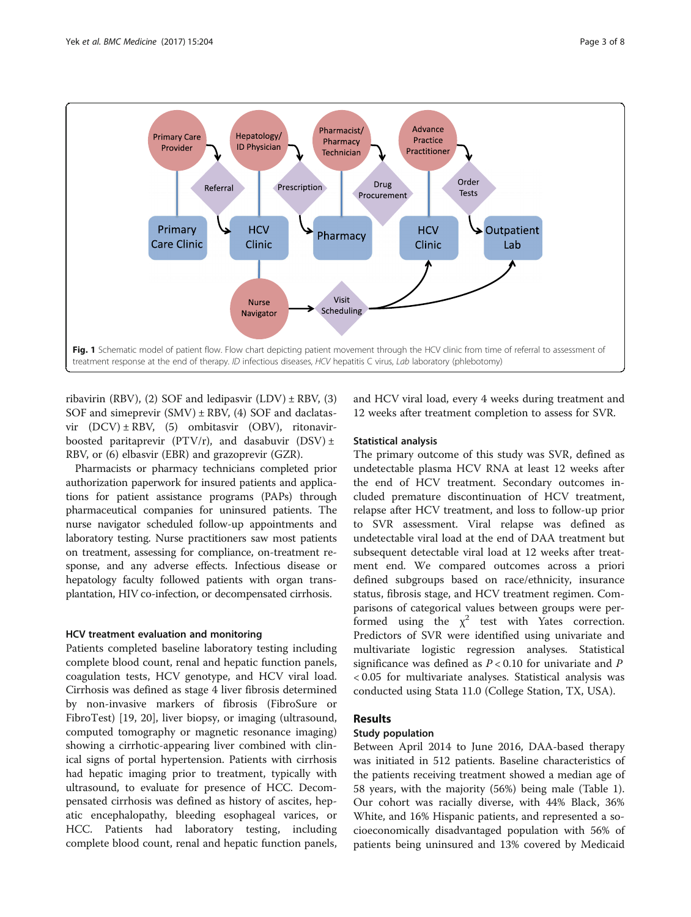<span id="page-2-0"></span>

ribavirin (RBV), (2) SOF and ledipasvir  $(LDV) \pm RBV$ , (3) SOF and simeprevir  $(SMV) \pm RBV$ , (4) SOF and daclatasvir (DCV) ± RBV, (5) ombitasvir (OBV), ritonavirboosted paritaprevir (PTV/r), and dasabuvir (DSV)  $\pm$ RBV, or (6) elbasvir (EBR) and grazoprevir (GZR).

Pharmacists or pharmacy technicians completed prior authorization paperwork for insured patients and applications for patient assistance programs (PAPs) through pharmaceutical companies for uninsured patients. The nurse navigator scheduled follow-up appointments and laboratory testing. Nurse practitioners saw most patients on treatment, assessing for compliance, on-treatment response, and any adverse effects. Infectious disease or hepatology faculty followed patients with organ transplantation, HIV co-infection, or decompensated cirrhosis.

# HCV treatment evaluation and monitoring

Patients completed baseline laboratory testing including complete blood count, renal and hepatic function panels, coagulation tests, HCV genotype, and HCV viral load. Cirrhosis was defined as stage 4 liver fibrosis determined by non-invasive markers of fibrosis (FibroSure or FibroTest) [[19, 20](#page-7-0)], liver biopsy, or imaging (ultrasound, computed tomography or magnetic resonance imaging) showing a cirrhotic-appearing liver combined with clinical signs of portal hypertension. Patients with cirrhosis had hepatic imaging prior to treatment, typically with ultrasound, to evaluate for presence of HCC. Decompensated cirrhosis was defined as history of ascites, hepatic encephalopathy, bleeding esophageal varices, or HCC. Patients had laboratory testing, including complete blood count, renal and hepatic function panels, and HCV viral load, every 4 weeks during treatment and 12 weeks after treatment completion to assess for SVR.

# Statistical analysis

The primary outcome of this study was SVR, defined as undetectable plasma HCV RNA at least 12 weeks after the end of HCV treatment. Secondary outcomes included premature discontinuation of HCV treatment, relapse after HCV treatment, and loss to follow-up prior to SVR assessment. Viral relapse was defined as undetectable viral load at the end of DAA treatment but subsequent detectable viral load at 12 weeks after treatment end. We compared outcomes across a priori defined subgroups based on race/ethnicity, insurance status, fibrosis stage, and HCV treatment regimen. Comparisons of categorical values between groups were performed using the  $\chi^2$  test with Yates correction. Predictors of SVR were identified using univariate and multivariate logistic regression analyses. Statistical significance was defined as  $P < 0.10$  for univariate and  $P$ < 0.05 for multivariate analyses. Statistical analysis was conducted using Stata 11.0 (College Station, TX, USA).

# Results

# Study population

Between April 2014 to June 2016, DAA-based therapy was initiated in 512 patients. Baseline characteristics of the patients receiving treatment showed a median age of 58 years, with the majority (56%) being male (Table [1](#page-3-0)). Our cohort was racially diverse, with 44% Black, 36% White, and 16% Hispanic patients, and represented a socioeconomically disadvantaged population with 56% of patients being uninsured and 13% covered by Medicaid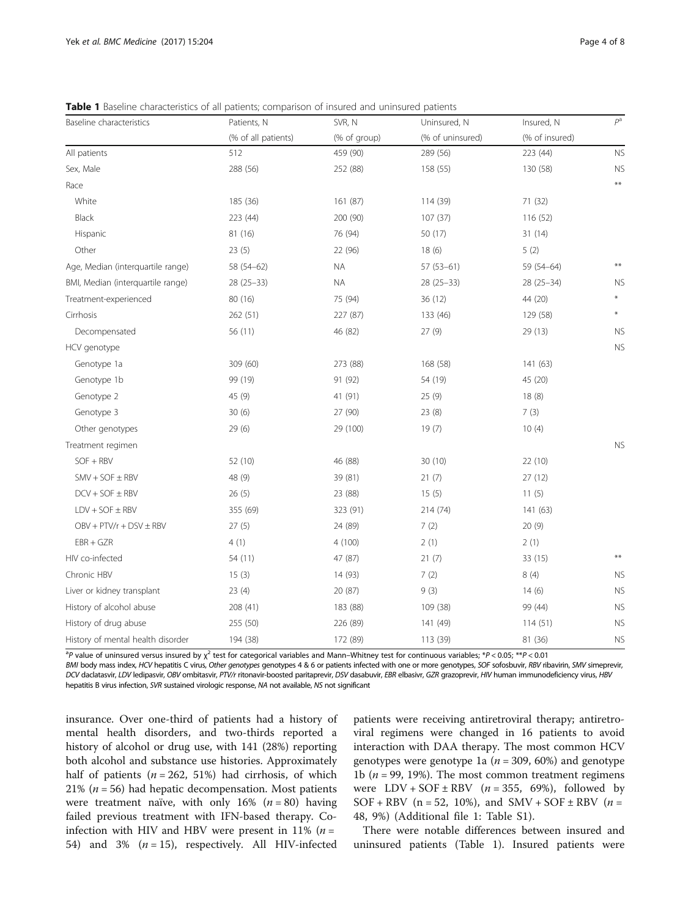<span id="page-3-0"></span>Table 1 Baseline characteristics of all patients; comparison of insured and uninsured patients

| Baseline characteristics          | Patients, N         | SVR, N       | Uninsured, N     | Insured, N     | $P^a$          |
|-----------------------------------|---------------------|--------------|------------------|----------------|----------------|
|                                   | (% of all patients) | (% of group) | (% of uninsured) | (% of insured) |                |
| All patients                      | 512                 | 459 (90)     | 289 (56)         | 223 (44)       | N <sub>S</sub> |
| Sex, Male                         | 288 (56)            | 252 (88)     | 158 (55)         | 130 (58)       | N <sup>S</sup> |
| Race                              |                     |              |                  |                | $***$          |
| White                             | 185 (36)            | 161 (87)     | 114 (39)         | 71 (32)        |                |
| Black                             | 223 (44)            | 200 (90)     | 107(37)          | 116(52)        |                |
| Hispanic                          | 81 (16)             | 76 (94)      | 50 (17)          | 31(14)         |                |
| Other                             | 23(5)               | 22 (96)      | 18(6)            | 5(2)           |                |
| Age, Median (interquartile range) | 58 (54-62)          | <b>NA</b>    | $57(53-61)$      | 59 (54-64)     | $***$          |
| BMI, Median (interquartile range) | 28 (25-33)          | $\sf NA$     | 28 (25-33)       | $28(25-34)$    | N <sub>S</sub> |
| Treatment-experienced             | 80 (16)             | 75 (94)      | 36 (12)          | 44 (20)        |                |
| Cirrhosis                         | 262 (51)            | 227 (87)     | 133 (46)         | 129 (58)       | $\ast$         |
| Decompensated                     | 56 (11)             | 46 (82)      | 27(9)            | 29 (13)        | NS             |
| HCV genotype                      |                     |              |                  |                | N <sup>S</sup> |
| Genotype 1a                       | 309 (60)            | 273 (88)     | 168 (58)         | 141 (63)       |                |
| Genotype 1b                       | 99 (19)             | 91 (92)      | 54 (19)          | 45 (20)        |                |
| Genotype 2                        | 45 (9)              | 41 (91)      | 25(9)            | 18(8)          |                |
| Genotype 3                        | 30(6)               | 27 (90)      | 23(8)            | 7(3)           |                |
| Other genotypes                   | 29(6)               | 29 (100)     | 19(7)            | 10(4)          |                |
| Treatment regimen                 |                     |              |                  |                | N <sup>2</sup> |
| $SOF + RBV$                       | 52 (10)             | 46 (88)      | 30 (10)          | 22(10)         |                |
| $SMV + SOF \pm RBV$               | 48 (9)              | 39 (81)      | 21(7)            | 27 (12)        |                |
| $DCV + SOF \pm RBV$               | 26(5)               | 23 (88)      | 15(5)            | 11(5)          |                |
| $LDV + SOF \pm RBV$               | 355 (69)            | 323 (91)     | 214 (74)         | 141 (63)       |                |
| $OBV + PTV/r + DSV \pm RBV$       | 27(5)               | 24 (89)      | 7(2)             | 20(9)          |                |
| $EBR + GZR$                       | 4(1)                | 4(100)       | 2(1)             | 2(1)           |                |
| HIV co-infected                   | 54 (11)             | 47 (87)      | 21(7)            | 33 (15)        | $***$          |
| Chronic HBV                       | 15(3)               | 14 (93)      | 7(2)             | 8(4)           | N <sup>S</sup> |
| Liver or kidney transplant        | 23(4)               | 20 (87)      | 9(3)             | 14(6)          | NS             |
| History of alcohol abuse          | 208 (41)            | 183 (88)     | 109 (38)         | 99 (44)        | NS             |
| History of drug abuse             | 255 (50)            | 226 (89)     | 141 (49)         | 114(51)        | N <sub>S</sub> |
| History of mental health disorder | 194 (38)            | 172 (89)     | 113 (39)         | 81 (36)        | N <sup>S</sup> |

<sup>a</sup>P value of uninsured versus insured by  $\chi^2$  test for categorical variables and Mann–Whitney test for continuous variables; \*P<0.05; \*\*P<0.01

BMI body mass index, HCV hepatitis C virus, Other genotypes genotypes 4 & 6 or patients infected with one or more genotypes, SOF sofosbuvir, RBV ribavirin, SMV simeprevir, DCV daclatasvir, LDV ledipasvir, OBV ombitasvir, PTV/r ritonavir-boosted paritaprevir, DSV dasabuvir, EBR elbasivr, GZR grazoprevir, HIV human immunodeficiency virus, HBV hepatitis B virus infection, SVR sustained virologic response, NA not available, NS not significant

insurance. Over one-third of patients had a history of mental health disorders, and two-thirds reported a history of alcohol or drug use, with 141 (28%) reporting both alcohol and substance use histories. Approximately half of patients ( $n = 262, 51\%$ ) had cirrhosis, of which 21% ( $n = 56$ ) had hepatic decompensation. Most patients were treatment naïve, with only 16%  $(n = 80)$  having failed previous treatment with IFN-based therapy. Coinfection with HIV and HBV were present in 11% ( $n =$ 54) and 3%  $(n = 15)$ , respectively. All HIV-infected

patients were receiving antiretroviral therapy; antiretroviral regimens were changed in 16 patients to avoid interaction with DAA therapy. The most common HCV genotypes were genotype 1a ( $n = 309, 60\%)$  and genotype 1b ( $n = 99$ , 19%). The most common treatment regimens were  $LDV + SOF \pm RBV$  (*n* = 355, 69%), followed by SOF + RBV ( $n = 52$ , 10%), and SMV + SOF  $\pm$  RBV ( $n =$ 48, 9%) (Additional file [1:](#page-6-0) Table S1).

There were notable differences between insured and uninsured patients (Table 1). Insured patients were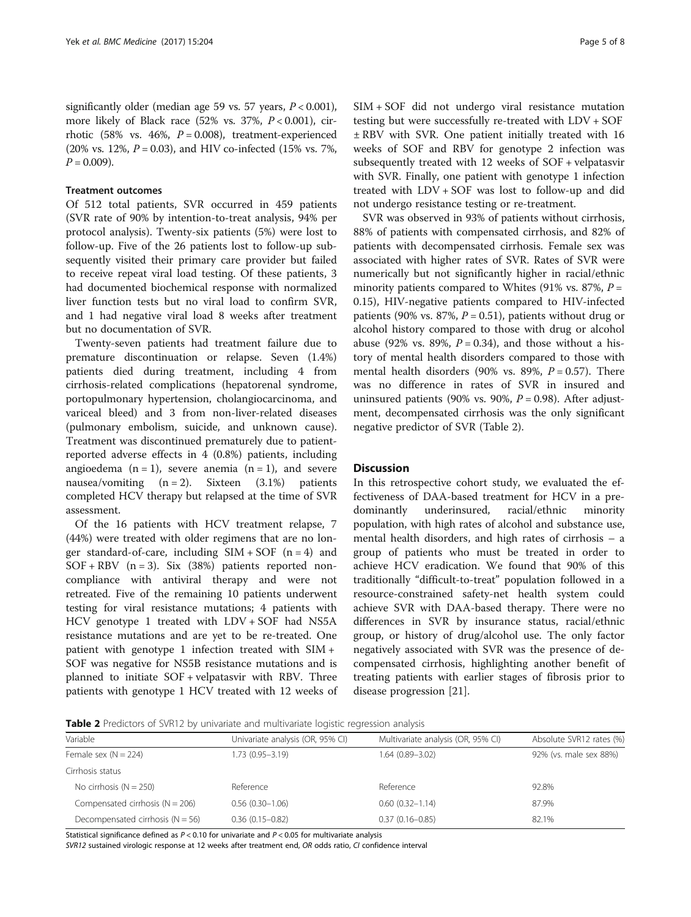significantly older (median age 59 vs. 57 years,  $P < 0.001$ ), more likely of Black race (52% vs. 37%,  $P < 0.001$ ), cirrhotic (58% vs. 46%,  $P = 0.008$ ), treatment-experienced (20% vs. 12%,  $P = 0.03$ ), and HIV co-infected (15% vs. 7%,  $P = 0.009$ ).

# Treatment outcomes

Of 512 total patients, SVR occurred in 459 patients (SVR rate of 90% by intention-to-treat analysis, 94% per protocol analysis). Twenty-six patients (5%) were lost to follow-up. Five of the 26 patients lost to follow-up subsequently visited their primary care provider but failed to receive repeat viral load testing. Of these patients, 3 had documented biochemical response with normalized liver function tests but no viral load to confirm SVR, and 1 had negative viral load 8 weeks after treatment but no documentation of SVR.

Twenty-seven patients had treatment failure due to premature discontinuation or relapse. Seven (1.4%) patients died during treatment, including 4 from cirrhosis-related complications (hepatorenal syndrome, portopulmonary hypertension, cholangiocarcinoma, and variceal bleed) and 3 from non-liver-related diseases (pulmonary embolism, suicide, and unknown cause). Treatment was discontinued prematurely due to patientreported adverse effects in 4 (0.8%) patients, including angioedema  $(n = 1)$ , severe anemia  $(n = 1)$ , and severe nausea/vomiting  $(n = 2)$ . Sixteen  $(3.1\%)$  patients completed HCV therapy but relapsed at the time of SVR assessment.

Of the 16 patients with HCV treatment relapse, 7 (44%) were treated with older regimens that are no longer standard-of-care, including  $SIM + SOF$  (n = 4) and  $SOF + RBV$  (n = 3). Six (38%) patients reported noncompliance with antiviral therapy and were not retreated. Five of the remaining 10 patients underwent testing for viral resistance mutations; 4 patients with HCV genotype 1 treated with LDV + SOF had NS5A resistance mutations and are yet to be re-treated. One patient with genotype 1 infection treated with SIM + SOF was negative for NS5B resistance mutations and is planned to initiate SOF + velpatasvir with RBV. Three patients with genotype 1 HCV treated with 12 weeks of SIM + SOF did not undergo viral resistance mutation testing but were successfully re-treated with LDV + SOF ± RBV with SVR. One patient initially treated with 16 weeks of SOF and RBV for genotype 2 infection was subsequently treated with 12 weeks of SOF + velpatasvir with SVR. Finally, one patient with genotype 1 infection treated with LDV + SOF was lost to follow-up and did not undergo resistance testing or re-treatment.

SVR was observed in 93% of patients without cirrhosis, 88% of patients with compensated cirrhosis, and 82% of patients with decompensated cirrhosis. Female sex was associated with higher rates of SVR. Rates of SVR were numerically but not significantly higher in racial/ethnic minority patients compared to Whites (91% vs. 87%,  $P =$ 0.15), HIV-negative patients compared to HIV-infected patients (90% vs. 87%,  $P = 0.51$ ), patients without drug or alcohol history compared to those with drug or alcohol abuse (92% vs. 89%,  $P = 0.34$ ), and those without a history of mental health disorders compared to those with mental health disorders (90% vs. 89%,  $P = 0.57$ ). There was no difference in rates of SVR in insured and uninsured patients (90% vs. 90%,  $P = 0.98$ ). After adjustment, decompensated cirrhosis was the only significant negative predictor of SVR (Table 2).

# **Discussion**

In this retrospective cohort study, we evaluated the effectiveness of DAA-based treatment for HCV in a predominantly underinsured, racial/ethnic minority population, with high rates of alcohol and substance use, mental health disorders, and high rates of cirrhosis – a group of patients who must be treated in order to achieve HCV eradication. We found that 90% of this traditionally "difficult-to-treat" population followed in a resource-constrained safety-net health system could achieve SVR with DAA-based therapy. There were no differences in SVR by insurance status, racial/ethnic group, or history of drug/alcohol use. The only factor negatively associated with SVR was the presence of decompensated cirrhosis, highlighting another benefit of treating patients with earlier stages of fibrosis prior to disease progression [[21\]](#page-7-0).

**Table 2** Predictors of SVR12 by univariate and multivariate logistic regression analysis

| Variable                           | Univariate analysis (OR, 95% CI) | Multivariate analysis (OR, 95% CI) | Absolute SVR12 rates (%) |  |  |
|------------------------------------|----------------------------------|------------------------------------|--------------------------|--|--|
| Female sex $(N = 224)$             | 1.73 (0.95-3.19)                 | 1.64 (0.89-3.02)                   | 92% (vs. male sex 88%)   |  |  |
| Cirrhosis status                   |                                  |                                    |                          |  |  |
| No cirrhosis $(N = 250)$           | Reference                        | Reference                          | 92.8%                    |  |  |
| Compensated cirrhosis $(N = 206)$  | $0.56(0.30-1.06)$                | $0.60(0.32 - 1.14)$                | 87.9%                    |  |  |
| Decompensated cirrhosis $(N = 56)$ | $0.36(0.15 - 0.82)$              | $0.37(0.16 - 0.85)$                | 82.1%                    |  |  |

Statistical significance defined as  $P < 0.10$  for univariate and  $P < 0.05$  for multivariate analysis

SVR12 sustained virologic response at 12 weeks after treatment end, OR odds ratio, CI confidence interval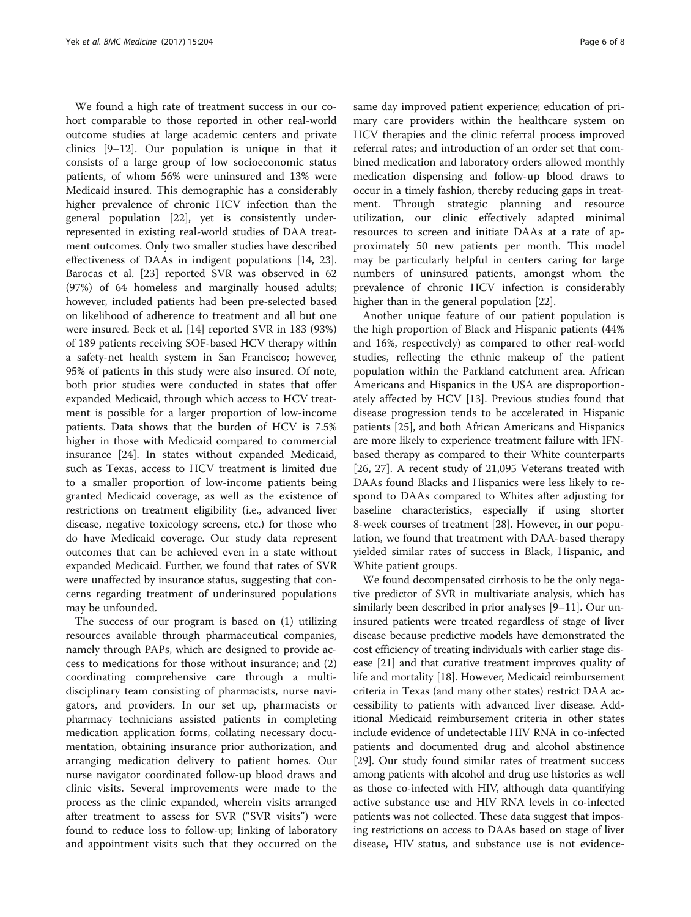We found a high rate of treatment success in our cohort comparable to those reported in other real-world outcome studies at large academic centers and private clinics [\[9](#page-6-0)–[12\]](#page-7-0). Our population is unique in that it consists of a large group of low socioeconomic status patients, of whom 56% were uninsured and 13% were Medicaid insured. This demographic has a considerably higher prevalence of chronic HCV infection than the general population [\[22](#page-7-0)], yet is consistently underrepresented in existing real-world studies of DAA treatment outcomes. Only two smaller studies have described effectiveness of DAAs in indigent populations [\[14, 23](#page-7-0)]. Barocas et al. [\[23\]](#page-7-0) reported SVR was observed in 62 (97%) of 64 homeless and marginally housed adults; however, included patients had been pre-selected based on likelihood of adherence to treatment and all but one were insured. Beck et al. [[14](#page-7-0)] reported SVR in 183 (93%) of 189 patients receiving SOF-based HCV therapy within a safety-net health system in San Francisco; however, 95% of patients in this study were also insured. Of note, both prior studies were conducted in states that offer expanded Medicaid, through which access to HCV treatment is possible for a larger proportion of low-income patients. Data shows that the burden of HCV is 7.5% higher in those with Medicaid compared to commercial insurance [[24\]](#page-7-0). In states without expanded Medicaid, such as Texas, access to HCV treatment is limited due to a smaller proportion of low-income patients being granted Medicaid coverage, as well as the existence of restrictions on treatment eligibility (i.e., advanced liver disease, negative toxicology screens, etc.) for those who do have Medicaid coverage. Our study data represent outcomes that can be achieved even in a state without expanded Medicaid. Further, we found that rates of SVR were unaffected by insurance status, suggesting that concerns regarding treatment of underinsured populations may be unfounded.

The success of our program is based on (1) utilizing resources available through pharmaceutical companies, namely through PAPs, which are designed to provide access to medications for those without insurance; and (2) coordinating comprehensive care through a multidisciplinary team consisting of pharmacists, nurse navigators, and providers. In our set up, pharmacists or pharmacy technicians assisted patients in completing medication application forms, collating necessary documentation, obtaining insurance prior authorization, and arranging medication delivery to patient homes. Our nurse navigator coordinated follow-up blood draws and clinic visits. Several improvements were made to the process as the clinic expanded, wherein visits arranged after treatment to assess for SVR ("SVR visits") were found to reduce loss to follow-up; linking of laboratory and appointment visits such that they occurred on the same day improved patient experience; education of primary care providers within the healthcare system on HCV therapies and the clinic referral process improved referral rates; and introduction of an order set that combined medication and laboratory orders allowed monthly medication dispensing and follow-up blood draws to occur in a timely fashion, thereby reducing gaps in treatment. Through strategic planning and resource utilization, our clinic effectively adapted minimal resources to screen and initiate DAAs at a rate of approximately 50 new patients per month. This model may be particularly helpful in centers caring for large numbers of uninsured patients, amongst whom the prevalence of chronic HCV infection is considerably higher than in the general population [\[22](#page-7-0)].

Another unique feature of our patient population is the high proportion of Black and Hispanic patients (44% and 16%, respectively) as compared to other real-world studies, reflecting the ethnic makeup of the patient population within the Parkland catchment area. African Americans and Hispanics in the USA are disproportionately affected by HCV [[13\]](#page-7-0). Previous studies found that disease progression tends to be accelerated in Hispanic patients [\[25\]](#page-7-0), and both African Americans and Hispanics are more likely to experience treatment failure with IFNbased therapy as compared to their White counterparts [[26, 27](#page-7-0)]. A recent study of 21,095 Veterans treated with DAAs found Blacks and Hispanics were less likely to respond to DAAs compared to Whites after adjusting for baseline characteristics, especially if using shorter 8-week courses of treatment [\[28\]](#page-7-0). However, in our population, we found that treatment with DAA-based therapy yielded similar rates of success in Black, Hispanic, and White patient groups.

We found decompensated cirrhosis to be the only negative predictor of SVR in multivariate analysis, which has similarly been described in prior analyses [[9](#page-6-0)–[11\]](#page-6-0). Our uninsured patients were treated regardless of stage of liver disease because predictive models have demonstrated the cost efficiency of treating individuals with earlier stage disease [\[21\]](#page-7-0) and that curative treatment improves quality of life and mortality [[18](#page-7-0)]. However, Medicaid reimbursement criteria in Texas (and many other states) restrict DAA accessibility to patients with advanced liver disease. Additional Medicaid reimbursement criteria in other states include evidence of undetectable HIV RNA in co-infected patients and documented drug and alcohol abstinence [[29](#page-7-0)]. Our study found similar rates of treatment success among patients with alcohol and drug use histories as well as those co-infected with HIV, although data quantifying active substance use and HIV RNA levels in co-infected patients was not collected. These data suggest that imposing restrictions on access to DAAs based on stage of liver disease, HIV status, and substance use is not evidence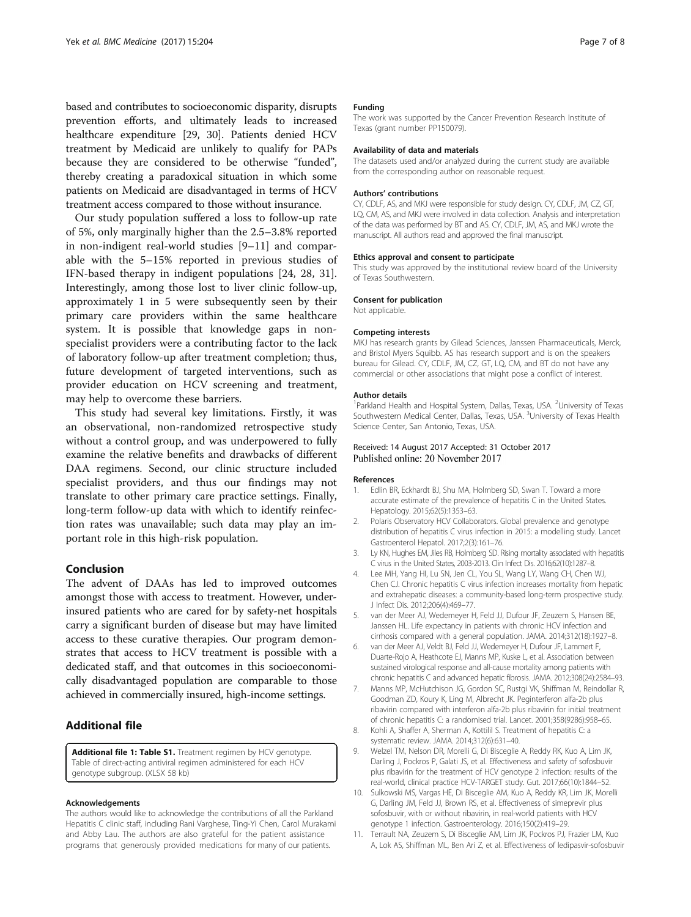<span id="page-6-0"></span>based and contributes to socioeconomic disparity, disrupts prevention efforts, and ultimately leads to increased healthcare expenditure [\[29](#page-7-0), [30\]](#page-7-0). Patients denied HCV treatment by Medicaid are unlikely to qualify for PAPs because they are considered to be otherwise "funded", thereby creating a paradoxical situation in which some patients on Medicaid are disadvantaged in terms of HCV treatment access compared to those without insurance.

Our study population suffered a loss to follow-up rate of 5%, only marginally higher than the 2.5–3.8% reported in non-indigent real-world studies [9–11] and comparable with the 5–15% reported in previous studies of IFN-based therapy in indigent populations [\[24, 28](#page-7-0), [31](#page-7-0)]. Interestingly, among those lost to liver clinic follow-up, approximately 1 in 5 were subsequently seen by their primary care providers within the same healthcare system. It is possible that knowledge gaps in nonspecialist providers were a contributing factor to the lack of laboratory follow-up after treatment completion; thus, future development of targeted interventions, such as provider education on HCV screening and treatment, may help to overcome these barriers.

This study had several key limitations. Firstly, it was an observational, non-randomized retrospective study without a control group, and was underpowered to fully examine the relative benefits and drawbacks of different DAA regimens. Second, our clinic structure included specialist providers, and thus our findings may not translate to other primary care practice settings. Finally, long-term follow-up data with which to identify reinfection rates was unavailable; such data may play an important role in this high-risk population.

# Conclusion

The advent of DAAs has led to improved outcomes amongst those with access to treatment. However, underinsured patients who are cared for by safety-net hospitals carry a significant burden of disease but may have limited access to these curative therapies. Our program demonstrates that access to HCV treatment is possible with a dedicated staff, and that outcomes in this socioeconomically disadvantaged population are comparable to those achieved in commercially insured, high-income settings.

# Additional file

[Additional file 1: Table S1.](dx.doi.org/10.1186/s12916-017-0969-3) Treatment regimen by HCV genotype. Table of direct-acting antiviral regimen administered for each HCV genotype subgroup. (XLSX 58 kb)

#### Acknowledgements

The authors would like to acknowledge the contributions of all the Parkland Hepatitis C clinic staff, including Rani Varghese, Ting-Yi Chen, Carol Murakami and Abby Lau. The authors are also grateful for the patient assistance programs that generously provided medications for many of our patients.

#### Funding

The work was supported by the Cancer Prevention Research Institute of Texas (grant number PP150079).

#### Availability of data and materials

The datasets used and/or analyzed during the current study are available from the corresponding author on reasonable request.

#### Authors' contributions

CY, CDLF, AS, and MKJ were responsible for study design. CY, CDLF, JM, CZ, GT, LQ, CM, AS, and MKJ were involved in data collection. Analysis and interpretation of the data was performed by BT and AS. CY, CDLF, JM, AS, and MKJ wrote the manuscript. All authors read and approved the final manuscript.

### Ethics approval and consent to participate

This study was approved by the institutional review board of the University of Texas Southwestern.

#### Consent for publication

Not applicable.

# Competing interests

MKJ has research grants by Gilead Sciences, Janssen Pharmaceuticals, Merck, and Bristol Myers Squibb. AS has research support and is on the speakers bureau for Gilead. CY, CDLF, JM, CZ, GT, LQ, CM, and BT do not have any commercial or other associations that might pose a conflict of interest.

#### Author details

<sup>1</sup> Parkland Health and Hospital System, Dallas, Texas, USA. <sup>2</sup> University of Texas Southwestern Medical Center, Dallas, Texas, USA. <sup>3</sup>University of Texas Health Science Center, San Antonio, Texas, USA.

Received: 14 August 2017 Accepted: 31 October 2017 Published online: 20 November 2017

#### References

- 1. Edlin BR, Eckhardt BJ, Shu MA, Holmberg SD, Swan T. Toward a more accurate estimate of the prevalence of hepatitis C in the United States. Hepatology. 2015;62(5):1353–63.
- 2. Polaris Observatory HCV Collaborators. Global prevalence and genotype distribution of hepatitis C virus infection in 2015: a modelling study. Lancet Gastroenterol Hepatol. 2017;2(3):161–76.
- 3. Ly KN, Hughes EM, Jiles RB, Holmberg SD. Rising mortality associated with hepatitis C virus in the United States, 2003-2013. Clin Infect Dis. 2016;62(10):1287–8.
- 4. Lee MH, Yang HI, Lu SN, Jen CL, You SL, Wang LY, Wang CH, Chen WJ, Chen CJ. Chronic hepatitis C virus infection increases mortality from hepatic and extrahepatic diseases: a community-based long-term prospective study. J Infect Dis. 2012;206(4):469–77.
- 5. van der Meer AJ, Wedemeyer H, Feld JJ, Dufour JF, Zeuzem S, Hansen BE, Janssen HL. Life expectancy in patients with chronic HCV infection and cirrhosis compared with a general population. JAMA. 2014;312(18):1927–8.
- 6. van der Meer AJ, Veldt BJ, Feld JJ, Wedemeyer H, Dufour JF, Lammert F, Duarte-Rojo A, Heathcote EJ, Manns MP, Kuske L, et al. Association between sustained virological response and all-cause mortality among patients with chronic hepatitis C and advanced hepatic fibrosis. JAMA. 2012;308(24):2584–93.
- 7. Manns MP, McHutchison JG, Gordon SC, Rustgi VK, Shiffman M, Reindollar R, Goodman ZD, Koury K, Ling M, Albrecht JK. Peginterferon alfa-2b plus ribavirin compared with interferon alfa-2b plus ribavirin for initial treatment of chronic hepatitis C: a randomised trial. Lancet. 2001;358(9286):958–65.
- 8. Kohli A, Shaffer A, Sherman A, Kottilil S. Treatment of hepatitis C: a systematic review. JAMA. 2014;312(6):631–40.
- 9. Welzel TM, Nelson DR, Morelli G, Di Bisceglie A, Reddy RK, Kuo A, Lim JK, Darling J, Pockros P, Galati JS, et al. Effectiveness and safety of sofosbuvir plus ribavirin for the treatment of HCV genotype 2 infection: results of the real-world, clinical practice HCV-TARGET study. Gut. 2017;66(10):1844–52.
- 10. Sulkowski MS, Vargas HE, Di Bisceglie AM, Kuo A, Reddy KR, Lim JK, Morelli G, Darling JM, Feld JJ, Brown RS, et al. Effectiveness of simeprevir plus sofosbuvir, with or without ribavirin, in real-world patients with HCV genotype 1 infection. Gastroenterology. 2016;150(2):419–29.
- 11. Terrault NA, Zeuzem S, Di Bisceglie AM, Lim JK, Pockros PJ, Frazier LM, Kuo A, Lok AS, Shiffman ML, Ben Ari Z, et al. Effectiveness of ledipasvir-sofosbuvir